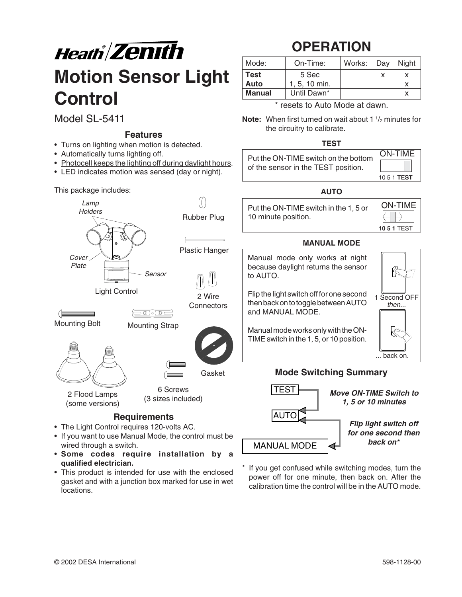

Model SL-5411

#### **Features**

- Turns on lighting when motion is detected.
- Automatically turns lighting off.
- Photocell keeps the lighting off during daylight hours.

Sensor

 $\left(\overline{\text{Eq}(\circ)}\,\overline{\text{D}}\,\overline{\text{C}}\right)$ 

Plastic Hanger

2 Wire **Connectors** 

Gasket

Rubber Plug

 $\left(\binom{1}{2}\right)$ 

• LED indicates motion was sensed (day or night).

Lamp This package includes:

**Holders** 

Cover Plate

# **OPERATION**

| Mode:  | On-Time:      | Works: Day | Night |
|--------|---------------|------------|-------|
| Test   | 5 Sec         |            |       |
| Auto   | $1.5.10$ min. |            |       |
| Manual | Until Dawn*   |            |       |

\* resets to Auto Mode at dawn.

**Note:** When first turned on wait about 1  $\frac{1}{2}$  minutes for the circuitry to calibrate.

#### **TEST**

| Put the ON-TIME switch on the bottom<br>of the sensor in the TEST position. | <b>ON-TIME</b>     |  |
|-----------------------------------------------------------------------------|--------------------|--|
|                                                                             | 10 5 1 <b>TEST</b> |  |
|                                                                             |                    |  |

#### **AUTO**

| Put the ON-TIME switch in the 1, 5 or | <b>ON-TIME</b>                |
|---------------------------------------|-------------------------------|
| 10 minute position.                   | $\leftarrow \rightarrow \top$ |
|                                       | <b>10 5 1 TEST</b>            |

#### **MANUAL MODE**

Manual mode only works at night because daylight returns the sensor to AUTO.

Flip the light switch off for one second then back on to toggle between AUTO and MANUAL MODE.

Manual mode works only with the ON-TIME switch in the 1, 5, or 10 position.



#### **Mode Switching Summary**



If you get confused while switching modes, turn the power off for one minute, then back on. After the calibration time the control will be in the AUTO mode.

#### **Requirements**

6 Screws (3 sizes included)

• The Light Control requires 120-volts AC.

Light Control

Mounting Bolt Mounting Strap

- If you want to use Manual Mode, the control must be wired through a switch.
- **Some codes require installation by a qualified electrician.**
- This product is intended for use with the enclosed gasket and with a junction box marked for use in wet locations.

2 Flood Lamps (some versions)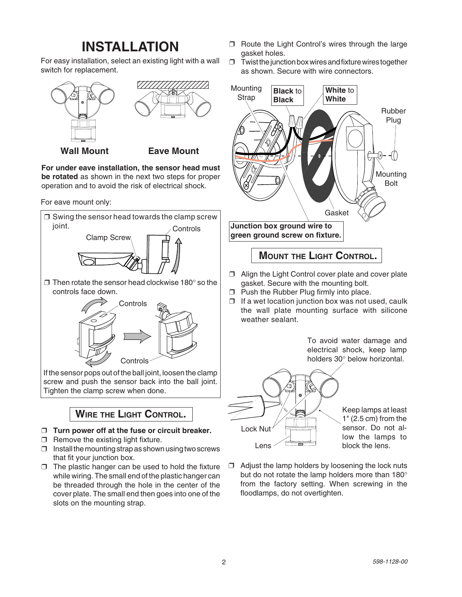### **INSTALLATION**

For easy installation, select an existing light with a wall switch for replacement.



#### **Wall Mount Eave Mount**

**For under eave installation, the sensor head must be rotated** as shown in the next two steps for proper operation and to avoid the risk of electrical shock.

For eave mount only:



### **WIRE THE LIGHT CONTROL.**

#### ❒ **Turn power off at the fuse or circuit breaker.**

- ❒ Remove the existing light fixture.
- $\Box$  Install the mounting strap as shown using two screws that fit your junction box.
- $\Box$  The plastic hanger can be used to hold the fixture while wiring. The small end of the plastic hanger can be threaded through the hole in the center of the cover plate. The small end then goes into one of the slots on the mounting strap.
- ❒ Route the Light Control's wires through the large gasket holes.
- ❒ Twist thejunction box wires and fixture wires together as shown. Secure with wire connectors.



### **MOUNT THE LIGHT CONTROL.**

- ❒ Align the Light Control cover plate and cover plate gasket. Secure with the mounting bolt.
- ❒ Push the Rubber Plug firmly into place.
- ❒ If a wet location junction box was not used, caulk the wall plate mounting surface with silicone weather sealant.

To avoid water damage and electrical shock, keep lamp holders 30° below horizontal.



Keep lamps at least 1" (2.5 cm) from the sensor. Do not allow the lamps to

 $\Box$  Adjust the lamp holders by loosening the lock nuts but do not rotate the lamp holders more than 180° from the factory setting. When screwing in the floodlamps, do not overtighten.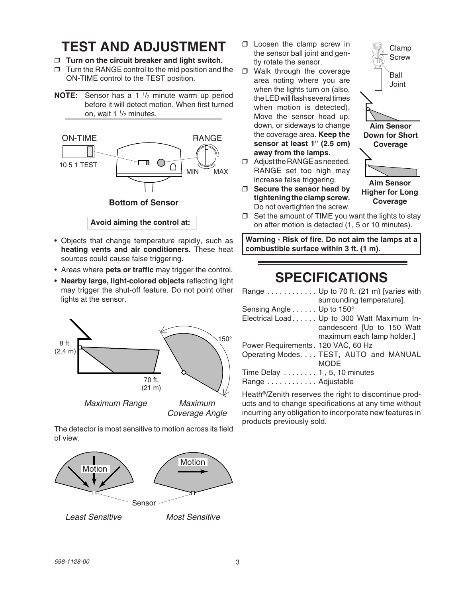### **TEST AND ADJUSTMENT**

- ❒ **Turn on the circuit breaker and light switch.**
- ❒ Turn the RANGE control to the mid position and the ON-TIME control to the TEST position.
- **NOTE:** Sensor has a 1 <sup>1</sup>/<sub>2</sub> minute warm up period before it will detect motion. When first turned on, wait 1 1/<sub>2</sub> minutes.



- Objects that change temperature rapidly, such as **heating vents and air conditioners.** These heat sources could cause false triggering.
- Areas where **pets or traffic** may trigger the control.
- **Nearby large, light-colored objects** reflecting light may trigger the shut-off feature. Do not point other lights at the sensor.



The detector is most sensitive to motion across its field of view.



Least Sensitive Most Sensitive

- ❒ Loosen the clamp screw in the sensor ball joint and gently rotate the sensor.
- ❒ Walk through the coverage area noting where you are when the lights turn on (also, the LED will flash several times when motion is detected). Move the sensor head up, down, or sideways to change the coverage area. **Keep the sensor at least 1" (2.5 cm) away from the lamps.**
- ❒ Adjust the RANGE as needed. RANGE set too high may increase false triggering.
- ❒ **Secure the sensor head by tightening the clamp screw.** Do not overtighten the screw.



**Coverage**

 $\Box$  Set the amount of TIME you want the lights to stay on after motion is detected (1, 5 or 10 minutes).

**Warning - Risk of fire. Do not aim the lamps at a combustible surface within 3 ft. (1 m).**

### **SPECIFICATIONS**

| Range Up to 70 ft. (21 m) [varies with      |
|---------------------------------------------|
| surrounding temperature].                   |
| Sensing Angle Up to 150°                    |
| Electrical Load. Up to 300 Watt Maximum In- |
| candescent [Up to 150 Watt                  |
| maximum each lamp holder.]                  |
| Power Requirements. 120 VAC, 60 Hz          |
| Operating Modes TEST, AUTO and MANUAL       |
| <b>MODE</b>                                 |
| Time Delay $\dots \dots 1$ , 5, 10 minutes  |
| Range Adjustable                            |
|                                             |

Heath®/Zenith reserves the right to discontinue products and to change specifications at any time without incurring any obligation to incorporate new features in products previously sold.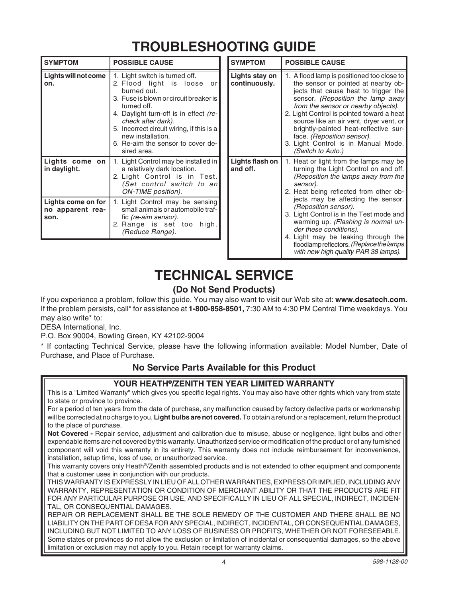## **TROUBLESHOOTING GUIDE**

| <b>SYMPTOM</b>                                 | <b>POSSIBLE CAUSE</b>                                                                                                                                                                                                                                                                                                          | <b>SYMPTOM</b>                  | <b>POSSIBLE CAUSE</b>                                                                                                                                                                                                                                                                                                                                                                                                            |
|------------------------------------------------|--------------------------------------------------------------------------------------------------------------------------------------------------------------------------------------------------------------------------------------------------------------------------------------------------------------------------------|---------------------------------|----------------------------------------------------------------------------------------------------------------------------------------------------------------------------------------------------------------------------------------------------------------------------------------------------------------------------------------------------------------------------------------------------------------------------------|
| Lights will not come<br>on.                    | 1. Light switch is turned off.<br>2. Flood light is loose<br>orl<br>burned out.<br>3. Fuse is blown or circuit breaker is<br>turned off.<br>4. Daylight turn-off is in effect (re-<br>check after dark).<br>5. Incorrect circuit wiring, if this is a<br>new installation.<br>6. Re-aim the sensor to cover de-<br>sired area. | Lights stay on<br>continuously. | 1. A flood lamp is positioned too close to<br>the sensor or pointed at nearby ob-<br>jects that cause heat to trigger the<br>sensor. (Reposition the lamp away<br>from the sensor or nearby objects).<br>2. Light Control is pointed toward a heat<br>source like an air vent, dryer vent, or<br>brightly-painted heat-reflective sur-<br>face. (Reposition sensor).<br>3. Light Control is in Manual Mode.<br>(Switch to Auto.) |
| Lights come on<br>in daylight.                 | 1. Light Control may be installed in<br>a relatively dark location.<br>2. Light Control is in Test.<br>(Set control switch to an<br>ON-TIME position).                                                                                                                                                                         | Lights flash on<br>and off.     | 1. Heat or light from the lamps may be<br>turning the Light Control on and off.<br>(Reposition the lamps away from the<br>sensor).<br>2. Heat being reflected from other ob-                                                                                                                                                                                                                                                     |
| Lights come on for<br>no apparent rea-<br>son. | 1. Light Control may be sensing<br>small animals or automobile traf-<br>fic (re-aim sensor).<br>2. Range is set too high.<br>(Reduce Range).                                                                                                                                                                                   |                                 | jects may be affecting the sensor.<br>(Reposition sensor).<br>3. Light Control is in the Test mode and<br>warming up. (Flashing is normal un-<br>der these conditions).<br>4. Light may be leaking through the<br>floodlamp reflectors. (Replace the lamps                                                                                                                                                                       |

### **TECHNICAL SERVICE**

### **(Do Not Send Products)**

If you experience a problem, follow this guide. You may also want to visit our Web site at: **www.desatech.com.** If the problem persists, call\* for assistance at **1-800-858-8501,** 7:30 AM to 4:30 PM Central Time weekdays. You may also write\* to:

DESA International, Inc.

P.O. Box 90004, Bowling Green, KY 42102-9004

\* If contacting Technical Service, please have the following information available: Model Number, Date of Purchase, and Place of Purchase.

#### **No Service Parts Available for this Product**

#### **YOUR HEATH®/ZENITH TEN YEAR LIMITED WARRANTY**

This is a "Limited Warranty" which gives you specific legal rights. You may also have other rights which vary from state to state or province to province.

For a period of ten years from the date of purchase, any malfunction caused by factory defective parts or workmanship will be corrected at no charge to you. **Light bulbs are not covered.** To obtain a refund or a replacement, return the product to the place of purchase.

**Not Covered -** Repair service, adjustment and calibration due to misuse, abuse or negligence, light bulbs and other expendable items are not covered by this warranty. Unauthorized service or modification of the product or of any furnished component will void this warranty in its entirety. This warranty does not include reimbursement for inconvenience, installation, setup time, loss of use, or unauthorized service.

This warranty covers only Heath®/Zenith assembled products and is not extended to other equipment and components that a customer uses in conjunction with our products.

THIS WARRANTY IS EXPRESSLY IN LIEU OF ALL OTHER WARRANTIES, EXPRESS OR IMPLIED, INCLUDING ANY WARRANTY, REPRESENTATION OR CONDITION OF MERCHANT ABILITY OR THAT THE PRODUCTS ARE FIT FOR ANY PARTICULAR PURPOSE OR USE, AND SPECIFICALLY IN LIEU OF ALL SPECIAL, INDIRECT, INCIDEN-TAL, OR CONSEQUENTIAL DAMAGES.

REPAIR OR REPLACEMENT SHALL BE THE SOLE REMEDY OF THE CUSTOMER AND THERE SHALL BE NO LIABILITY ON THE PART OF DESA FOR ANY SPECIAL, INDIRECT, INCIDENTAL, OR CONSEQUENTIAL DAMAGES, INCLUDING BUT NOT LIMITED TO ANY LOSS OF BUSINESS OR PROFITS, WHETHER OR NOT FORESEEABLE. Some states or provinces do not allow the exclusion or limitation of incidental or consequential damages, so the above limitation or exclusion may not apply to you. Retain receipt for warranty claims.

with new high quality PAR 38 lamps).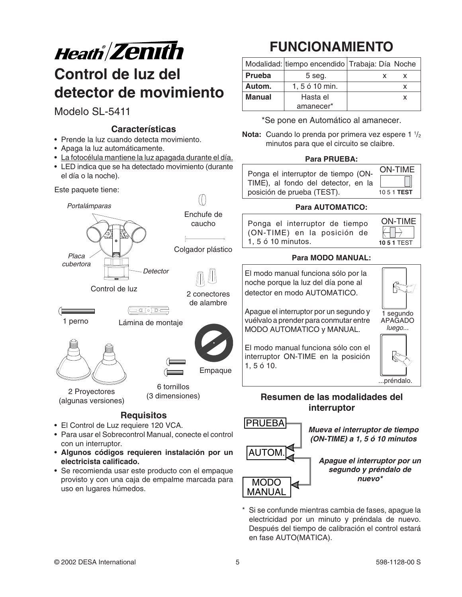

# **Control de luz del detector de movimiento**

Modelo SL-5411

#### **Características**

- Prende la luz cuando detecta movimiento.
- Apaga la luz automáticamente.
- La fotocélula mantiene la luz apagada durante el día.
- LED indica que se ha detectado movimiento (durante el día o la noche).

Este paquete tiene:





(algunas versiones)

6 tornillos (3 dimensiones)

**Empague** 

### **Requisitos**

- El Control de Luz requiere 120 VCA.
- Para usar el Sobrecontrol Manual, conecte el control con un interruptor.
- **Algunos códigos requieren instalación por un electricista calificado.**
- Se recomienda usar este producto con el empaque provisto y con una caja de empalme marcada para uso en lugares húmedos.

# **FUNCIONAMIENTO**

|        |                  | Modalidad: tiempo encendido Trabaja: Día Noche |  |
|--------|------------------|------------------------------------------------|--|
| Prueba | 5 seg.           |                                                |  |
| Autom. | $1, 5 6 10$ min. |                                                |  |
| Manual | Hasta el         | x                                              |  |
|        | amanecer*        |                                                |  |

\*Se pone en Automático al amanecer.

**Nota:** Cuando lo prenda por primera vez espere 1  $\frac{1}{2}$ minutos para que el circuito se claibre.

#### **Para PRUEBA:**

| Ponga el interruptor de tiempo (ON- | <b>ON-TIME</b> |
|-------------------------------------|----------------|
| TIME), al fondo del detector, en la | $\Box$         |
| posición de prueba (TEST).          | 1051 TEST      |

#### **Para AUTOMATICO:**

| Ponga el interruptor de tiempo | <b>ON-TIME</b>                |
|--------------------------------|-------------------------------|
| (ON-TIME) en la posición de    | $\leftarrow \rightarrow \bot$ |
| 1.5 ó 10 minutos.              | <b>10 5 1 TEST</b>            |

#### **Para MODO MANUAL:**

El modo manual funciona sólo por la noche porque la luz del día pone al detector en modo AUTOMATICO.

Apague el interruptor por un segundo y vuélvalo a prender para conmutar entre MODO AUTOMATICO y MANUAL.

El modo manual funciona sólo con el interruptor ON-TIME en la posición 1, 5 ó 10.

#### **Resumen de las modalidades del interruptor**



**Mueva el interruptor de tiempo (ON-TIME) a 1, 5 ó 10 minutos**

**Apague el interruptor por un segundo y préndalo de nuevo\***

Si se confunde mientras cambia de fases, apague la electricidad por un minuto y préndala de nuevo. Después del tiempo de calibración el control estará en fase AUTO(MATICA).

...préndalo.

1 segundo APAGADO luego...

停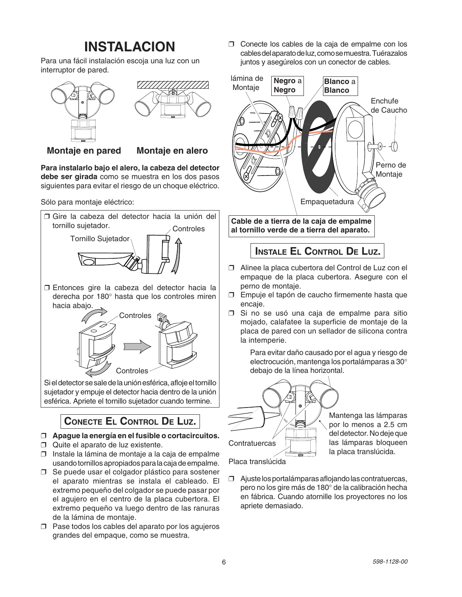### **INSTALACION**

Para una fácil instalación escoja una luz con un interruptor de pared.



**Montaje en pared Montaje en alero**

**Para instalarlo bajo el alero, la cabeza del detector debe ser girada** como se muestra en los dos pasos siguientes para evitar el riesgo de un choque eléctrico.



❒ Entonces gire la cabeza del detector hacia la derecha por 180° hasta que los controles miren hacia abajo.



Si el detector se sale de la unión esférica, afloje el tornillo sujetador y empuje el detector hacia dentro de la unión esférica. Apriete el tornillo sujetador cuando termine.

### **CONECTE EL CONTROL DE LUZ.**

- ❒ **Apague la energía en el fusible o cortacircuitos.**
- ❒ Quite el aparato de luz existente.
- ❒ Instale la lámina de montaje a la caja de empalme usando tornillos apropiados para la caja de empalme.
- ❒ Se puede usar el colgador plástico para sostener el aparato mientras se instala el cableado. El extremo pequeño del colgador se puede pasar por el agujero en el centro de la placa cubertora. El extremo pequeño va luego dentro de las ranuras de la lámina de montaje.
- ❒ Pase todos los cables del aparato por los agujeros grandes del empaque, como se muestra.

❒ Conecte los cables de la caja de empalme con los cables del aparato de luz, como se muestra. Tuérazalos juntos y asegúrelos con un conector de cables.



**INSTALE EL CONTROL DE LUZ.**

- ❒ Alinee la placa cubertora del Control de Luz con el empaque de la placa cubertora. Asegure con el perno de montaje.
- ❒ Empuje el tapón de caucho firmemente hasta que encaje.
- ❒ Si no se usó una caja de empalme para sitio mojado, calafatee la superficie de montaje de la placa de pared con un sellador de silicona contra la intemperie.

Para evitar daño causado por el agua y riesgo de electrocución, mantenga los portalámparas a 30° debajo de la línea horizontal.



Mantenga las lámparas por lo menos a 2.5 cm del detector. No deje que las lámparas bloqueen la placa translúcida.

Placa translúcida

❒ Ajuste los portalámparas aflojando las contratuercas, pero no los gire más de 180° de la calibración hecha en fábrica. Cuando atornille los proyectores no los apriete demasiado.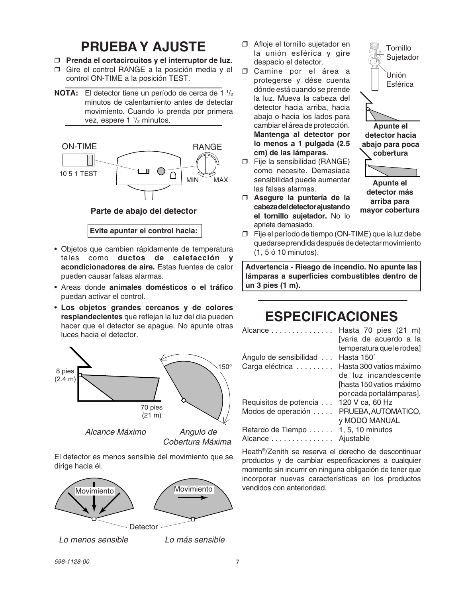### **PRUEBA Y AJUSTE**

- ❒ **Prenda el cortacircuitos y el interruptor de luz.**
- ❒ Gire el control RANGE a la posición media y el control ON-TIME a la posición TEST.
- **NOTA:** El detector tiene un período de cerca de 1 <sup>1</sup>/<sub>2</sub> minutos de calentamiento antes de detectar movimiento. Cuando lo prenda por primera vez, espere 1  $\frac{1}{2}$  minutos.



#### **Parte de abajo del detector**

**Evite apuntar el control hacia:**

- Objetos que cambien rápidamente de temperatura tales como **ductos de calefacción y acondicionadores de aire.** Estas fuentes de calor pueden causar falsas alarmas.
- Areas donde **animales domésticos o el tráfico** puedan activar el control.
- **Los objetos grandes cercanos y de colores resplandecientes** que reflejan la luz del día pueden hacer que el detector se apague. No apunte otras luces hacia el detector.



Alcance Máximo Angulo de

Cobertura Máxima

El detector es menos sensible del movimiento que se dirige hacia él.



Lo menos sensible  $\qquad \qquad$  Lo más sensible

- ❒ Afloje el tornillo sujetador en la unión esférica y gire despacio el detector.
- ❒ Camine por el área a protegerse y dése cuenta dónde está cuando se prende la luz. Mueva la cabeza del detector hacia arriba, hacia abajo o hacia los lados para cambiar el área de protección. **Mantenga al detector por lo menos a 1 pulgada (2.5 cm) de las lámparas.**
- ❒ Fije la sensibilidad (RANGE) como necesite. Demasiada sensibilidad puede aumentar las falsas alarmas.
- ❒ **Asegure la puntería de la cabeza del detector ajustando el tornillo sujetador.** No lo apriete demasiado.



**detector más arriba para mayor cobertura**

❒ Fije el período de tiempo (ON-TIME) que la luz debe quedarse prendida después de detectar movimiento (1, 5 ó 10 minutos).

**Advertencia - Riesgo de incendio. No apunte las lámparas a superficies combustibles dentro de un 3 pies (1 m).**

### **ESPECIFICACIONES**

| Hasta 70 pies (21 m)      |
|---------------------------|
| [varía de acuerdo a la    |
| temperatura que le rodea] |
| Hasta 150°                |
| Hasta 300 vatios máximo   |
| de luz incandescente      |
| [hasta 150 vatios máximo  |
| por cada portalámparas].  |
| 120 V ca, 60 Hz           |
| PRUEBA, AUTOMATICO,       |
| <b>y MODO MANUAL</b>      |
| 1, 5, 10 minutos          |
| Ajustable                 |
|                           |

Heath®/Zenith se reserva el derecho de descontinuar productos y de cambiar especificaciones a cualquier momento sin incurrir en ninguna obligación de tener que incorporar nuevas características en los productos vendidos con anterioridad.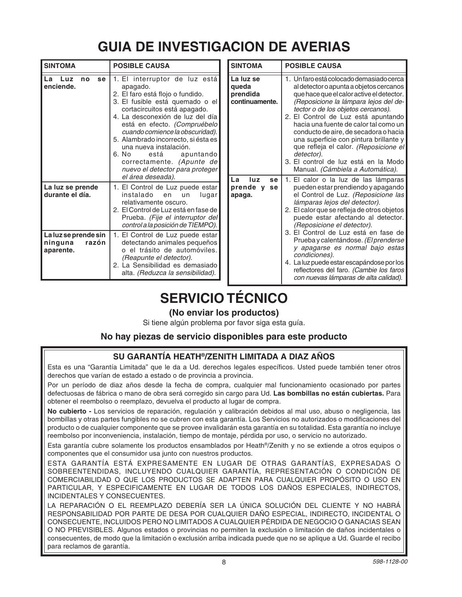# **GUIA DE INVESTIGACION DE AVERIAS**

| <b>SINTOMA</b>                                        | <b>POSIBLE CAUSA</b>                                                                                                                                                                                                                                                                                                                                                                                                                        |  |  |
|-------------------------------------------------------|---------------------------------------------------------------------------------------------------------------------------------------------------------------------------------------------------------------------------------------------------------------------------------------------------------------------------------------------------------------------------------------------------------------------------------------------|--|--|
| se<br>La<br>Luz<br>no<br>enciende.                    | 1. El interruptor de luz está<br>apagado.<br>2. El faro está flojo o fundido.<br>3. El fusible está quemado o el<br>cortacircuitos está apagado.<br>4. La desconexión de luz del día<br>está en efecto. (Compruébelo<br>cuando comience la obscuridad).<br>5. Alambrado incorrecto, si ésta es<br>una nueva instalación.<br>6. No<br>está<br>apuntando<br>correctamente. (Apunte de<br>nuevo el detector para proteger<br>el área deseada). |  |  |
| La luz se prende<br>durante el día.                   | 1. El Control de Luz puede estar<br>instalado<br>lugar<br>en<br>un<br>relativamente oscuro.<br>2. El Control de Luz está en fase de<br>Prueba. (Fije el interruptor del<br>control a la posición de TIEMPO).                                                                                                                                                                                                                                |  |  |
| La luz se prende sin<br>ninguna<br>razón<br>aparente. | 1. El Control de Luz puede estar<br>detectando animales pequeños<br>o el trásito de automóviles.<br>(Reapunte el detector).<br>2. La Sensibilidad es demasiado<br>alta. (Reduzca la sensibilidad).                                                                                                                                                                                                                                          |  |  |

| <b>SINTOMA</b>                                   | <b>POSIBLE CAUSA</b>                                                                                                                                                                                                                                                                                                                                                                                                                                                                                                                       |
|--------------------------------------------------|--------------------------------------------------------------------------------------------------------------------------------------------------------------------------------------------------------------------------------------------------------------------------------------------------------------------------------------------------------------------------------------------------------------------------------------------------------------------------------------------------------------------------------------------|
|                                                  |                                                                                                                                                                                                                                                                                                                                                                                                                                                                                                                                            |
| La luz se<br>queda<br>prendida<br>continuamente. | 1. Un faro está colocado demasiado cerca<br>al detector o apunta a objetos cercanos<br>que hace que el calor active el detector.<br>(Reposicione la lámpara lejos del de-<br>tector o de los objetos cercanos).<br>2. El Control de Luz está apuntando<br>hacia una fuente de calor tal como un<br>conducto de aire, de secadora o hacia<br>una superficie con pintura brillante y<br>que refleja el calor. (Reposicione el<br>detector).<br>3. El control de luz está en la Modo<br>Manual. (Cámbiela a Automática).                      |
| La<br>luz<br>se<br>prende y<br>se<br>apaga.      | 1. El calor o la luz de las lámparas<br>pueden estar prendiendo y apagando<br>el Control de Luz. (Reposicione las<br>lámparas lejos del detector).<br>2. El calor que se refleja de otros objetos<br>puede estar afectando al detector.<br>(Reposicione el detector).<br>3. El Control de Luz está en fase de<br>Prueba y calentándose. (El prenderse<br>y apagarse es normal bajo estas<br>condiciones).<br>4. La luz puede estar escapándose por los<br>reflectores del faro. (Cambie los faros<br>con nuevas lámparas de alta calidad). |

### **SERVICIO TÉCNICO**

### **(No enviar los productos)**

Si tiene algún problema por favor siga esta guía.

#### **No hay piezas de servicio disponibles para este producto**

### **SU GARANTÍA HEATH®/ZENITH LIMITADA A DIAZ AÑOS**

Esta es una "Garantía Limitada" que le da a Ud. derechos legales específicos. Usted puede también tener otros derechos que varían de estado a estado o de provincia a provincia.

Por un período de diaz años desde la fecha de compra, cualquier mal funcionamiento ocasionado por partes defectuosas de fábrica o mano de obra será corregido sin cargo para Ud. **Las bombillas no están cubiertas.** Para obtener el reembolso o reemplazo, devuelva el producto al lugar de compra.

**No cubierto -** Los servicios de reparación, regulación y calibración debidos al mal uso, abuso o negligencia, las bombillas y otras partes fungibles no se cubren con esta garantía. Los Servicios no autorizados o modificaciones del producto o de cualquier componente que se provee invalidarán esta garantía en su totalidad. Esta garantía no incluye reembolso por inconveniencia, instalación, tiempo de montaje, pérdida por uso, o servicio no autorizado.

Esta garantía cubre solamente los productos ensamblados por Heath®/Zenith y no se extiende a otros equipos o componentes que el consumidor usa junto con nuestros productos.

ESTA GARANTÍA ESTÁ EXPRESAMENTE EN LUGAR DE OTRAS GARANTÍAS, EXPRESADAS O SOBREENTENDIDAS, INCLUYENDO CUALQUIER GARANTÍA, REPRESENTACIÓN O CONDICIÓN DE COMERCIABILIDAD O QUE LOS PRODUCTOS SE ADAPTEN PARA CUALQUIER PROPÓSITO O USO EN PARTICULAR, Y ESPECIFICAMENTE EN LUGAR DE TODOS LOS DAÑOS ESPECIALES, INDIRECTOS, INCIDENTALES Y CONSECUENTES.

LA REPARACIÓN O EL REEMPLAZO DEBERÍA SER LA ÚNICA SOLUCIÓN DEL CLIENTE Y NO HABRÁ RESPONSABILIDAD POR PARTE DE DESA POR CUALQUIER DAÑO ESPECIAL, INDIRECTO, INCIDENTAL O CONSECUENTE, INCLUIDOS PERO NO LIMITADOS A CUALQUIER PÉRDIDA DE NEGOCIO O GANACIAS SEAN O NO PREVISIBLES. Algunos estados o provincias no permiten la exclusión o limitación de daños incidentales o consecuentes, de modo que la limitación o exclusión arriba indicada puede que no se aplique a Ud. Guarde el recibo para reclamos de garantía.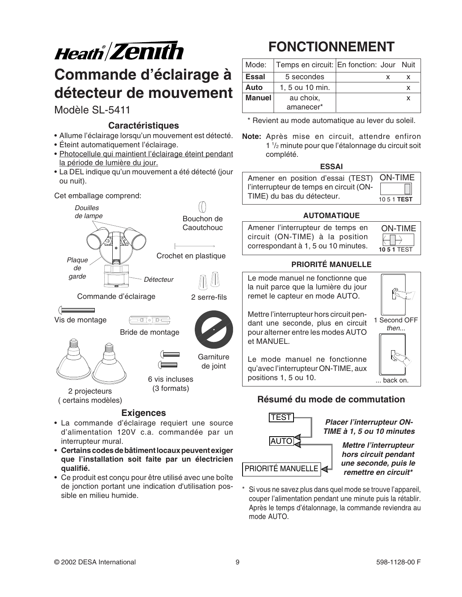

# **Commande d'éclairage à détecteur de mouvement**

### Modèle SL-5411

#### **Caractéristiques**

- Allume l'éclairage lorsqu'un mouvement est détecté.
- Éteint automatiquement l'éclairage.
- Photocellule qui maintient l'éclairage éteint pendant la période de lumière du jour.
- La DEL indique qu'un mouvement a été détecté (jour ou nuit).

#### Cet emballage comprend:



- **Exigences**<br>
La commande d'éclairage requiert une source<br>
La commande d'éclairage requiert une source d'alimentation 120V c.a. commandée par un interrupteur mural.
- **Certains codes de bâtiment locaux peuvent exiger que l'installation soit faite par un électricien qualifié.**
- Ce produit est conçu pour être utilisé avec une boîte de jonction portant une indication d'utilisation possible en milieu humide.

# **FONCTIONNEMENT**

| Mode:                      | Temps en circuit: En fonction: Jour Nuit |  |  |
|----------------------------|------------------------------------------|--|--|
| <b>Essal</b>               | 5 secondes                               |  |  |
| Auto                       | 1, 5 ou 10 min.                          |  |  |
| <b>Manuel</b><br>au choix, |                                          |  |  |
|                            | amanecer*                                |  |  |

\* Revient au mode automatique au lever du soleil.

**Note:** Après mise en circuit, attendre enfiron 1 1 /2 minute pour que l'étalonnage du circuit soit complété.

#### **ESSAI**

| Amener en position d'essai (TEST) ON-TIME |                    |
|-------------------------------------------|--------------------|
| l'interrupteur de temps en circuit (ON-   |                    |
| TIME) du bas du détecteur.                | 10.5.1 <b>TEST</b> |

#### **AUTOMATIQUE**

Amener l'interrupteur de temps en circuit (ON-TIME) à la position correspondant à 1, 5 ou 10 minutes.

#### **PRIORITÉ MANUELLE**



### **Résumé du mode de commutation**



**Placer l'interrupteur ON-TIME à 1, 5 ou 10 minutes**

ON-TIME

**10 5 1** TEST

**Mettre l'interrupteur hors circuit pendant une seconde, puis le**

Si vous ne savez plus dans quel mode se trouve l'appareil, couper l'alimentation pendant une minute puis la rétablir. Après le temps d'étalonnage, la commande reviendra au mode AUTO.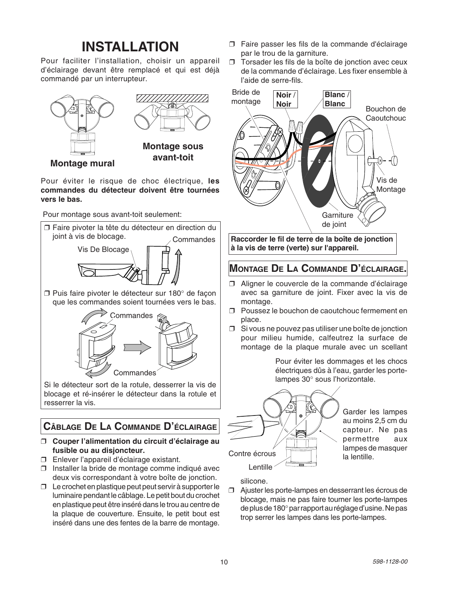### **INSTALLATION**

Pour faciliter l'installation, choisir un appareil d'éclairage devant être remplacé et qui est déjà commandé par un interrupteur.



**Montage mural**

Pour éviter le risque de choc électrique, **les commandes du détecteur doivent être tournées vers le bas.**

Pour montage sous avant-toit seulement:



que les commandes soient tournées vers le bas.



Si le détecteur sort de la rotule, desserrer la vis de blocage et ré-insérer le détecteur dans la rotule et resserrer la vis.

### **CÂBLAGE DE LA COMMANDE D'ÉCLAIRAGE**

#### ❒ **Couper l'alimentation du circuit d'éclairage au fusible ou au disjoncteur.**

- ❒ Enlever l'appareil d'éclairage existant.
- ❒ Installer la bride de montage comme indiqué avec deux vis correspondant à votre boîte de jonction.
- ❒ Le crochet en plastique peut peut servir à supporter le luminaire pendant le câblage. Le petit bout du crochet en plastique peut être inséré dans le trou au centre de la plaque de couverture. Ensuite, le petit bout est inséré dans une des fentes de la barre de montage.
- ❒ Faire passer les fils de la commande d'éclairage par le trou de la garniture.
- ❒ Torsader les fils de la boîte de jonction avec ceux de la commande d'éclairage. Les fixer ensemble à l'aide de serre-fils.



**Raccorder le fil de terre de la boîte de jonction à la vis de terre (verte) sur l'appareil.**

### **MONTAGE DE LA COMMANDE D'ÉCLAIRAGE.**

- ❒ Aligner le couvercle de la commande d'éclairage avec sa garniture de joint. Fixer avec la vis de montage.
- ❒ Poussez le bouchon de caoutchouc fermement en place.
- ❒ Si vous ne pouvez pas utiliser une boîte de jonction pour milieu humide, calfeutrez la surface de montage de la plaque murale avec un scellant

Pour éviter les dommages et les chocs électriques dûs à l'eau, garder les portelampes 30° sous l'horizontale.



Garder les lampes au moins 2,5 cm du capteur. Ne pas permettre aux lampes de masquer la lentille.

silicone.

❒ Ajuster les porte-lampes en desserrant les écrous de blocage, mais ne pas faire tourner les porte-lampes de plus de 180°par rapport au réglage d'usine. Ne pas trop serrer les lampes dans les porte-lampes.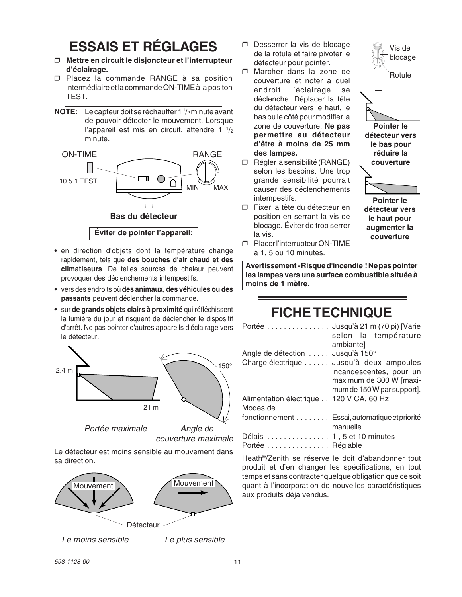# **ESSAIS ET RÉGLAGES**

- ❒ **Mettre en circuit le disjoncteur et l'interrupteur d'éclairage.**
- ❒ Placez la commande RANGE à sa position intermédiaire et la commande ON-TIME à la positon TEST.
- **NOTE:** Le capteur doit se réchauffer 1 1 /2 minute avant de pouvoir détecter le mouvement. Lorsque l'appareil est mis en circuit, attendre 1  $\frac{1}{2}$ minute.



- en direction d'objets dont la température change rapidement, tels que **des bouches d'air chaud et des climatiseurs**. De telles sources de chaleur peuvent provoquer des déclenchements intempestifs.
- vers des endroits où **des animaux, des véhicules ou des passants** peuvent déclencher la commande.
- sur **de grands objets clairs à proximité** qui réfléchissent la lumière du jour et risquent de déclencher le dispositif d'arrêt. Ne pas pointer d'autres appareils d'éclairage vers le détecteur.



Portée maximale  $\qquad$  Angle de

couverture maximale

Le détecteur est moins sensible au mouvement dans sa direction.



Le moins sensible Le plus sensible

❒ Desserrer la vis de blocage de la rotule et faire pivoter le détecteur pour pointer.

Vis de blocage

Rotule

**Pointer le détecteur vers le bas pour réduire la couverture**

**Pointer le détecteur vers le haut pour augmenter la couverture**

- ❒ Marcher dans la zone de couverture et noter à quel endroit l'éclairage se déclenche. Déplacer la tête du détecteur vers le haut, le bas ou le côté pour modifier la zone de couverture. **Ne pas permettre au détecteur d'être à moins de 25 mm des lampes.**
- ❒ Régler la sensibilité (RANGE) selon les besoins. Une trop grande sensibilité pourrait causer des déclenchements intempestifs.
- ❒ Fixer la tête du détecteur en position en serrant la vis de blocage. Éviter de trop serrer la vis.
- ❒ Placer l'interrupteur ON-TIME à 1, 5 ou 10 minutes.

**Avertissement - Risque d'incendie ! Ne pas pointer les lampes vers une surface combustible située à moins de 1 mètre.**

#### **FICHE TECHNIQUE** Portée . . . . . . . . . . . . . . . Jusqu'à 21 m (70 pi) [Varie

|                                         | $\lceil \text{C} \rceil$ $\lceil \text{C} \rceil$ $\lceil \text{C} \rceil$ $\lceil \text{C} \rceil$ $\lceil \text{C} \rceil$ $\lceil \text{C} \rceil$ $\lceil \text{C} \rceil$ $\lceil \text{C} \rceil$ $\lceil \text{C} \rceil$ $\lceil \text{C} \rceil$ $\lceil \text{C} \rceil$ $\lceil \text{C} \rceil$ $\lceil \text{C} \rceil$ $\lceil \text{C} \rceil$ $\lceil \text{C} \rceil$ $\lceil \text{C} \r$ |
|-----------------------------------------|-------------------------------------------------------------------------------------------------------------------------------------------------------------------------------------------------------------------------------------------------------------------------------------------------------------------------------------------------------------------------------------------------------------|
|                                         | selon la température                                                                                                                                                                                                                                                                                                                                                                                        |
|                                         | ambiante]                                                                                                                                                                                                                                                                                                                                                                                                   |
| Angle de détection  Jusqu'à 150°        |                                                                                                                                                                                                                                                                                                                                                                                                             |
|                                         | Charge électrique  Jusqu'à deux ampoules                                                                                                                                                                                                                                                                                                                                                                    |
|                                         | incandescentes, pour un                                                                                                                                                                                                                                                                                                                                                                                     |
|                                         | maximum de 300 W [maxi-                                                                                                                                                                                                                                                                                                                                                                                     |
|                                         | mum de 150W par support].                                                                                                                                                                                                                                                                                                                                                                                   |
| Alimentation électrique 120 V CA, 60 Hz |                                                                                                                                                                                                                                                                                                                                                                                                             |
| Modes de                                |                                                                                                                                                                                                                                                                                                                                                                                                             |
|                                         | fonctionnement Essai, automatique et priorité                                                                                                                                                                                                                                                                                                                                                               |
|                                         | manuelle                                                                                                                                                                                                                                                                                                                                                                                                    |
| Délais  1, 5 et 10 minutes              |                                                                                                                                                                                                                                                                                                                                                                                                             |
|                                         |                                                                                                                                                                                                                                                                                                                                                                                                             |
| Portée Réglable                         |                                                                                                                                                                                                                                                                                                                                                                                                             |

Heath®/Zenith se réserve le doit d'abandonner tout produit et d'en changer les spécifications, en tout temps et sans contracter quelque obligation que ce soit quant à l'incorporation de nouvelles caractéristiques aux produits déjà vendus.

598-1128-00 11